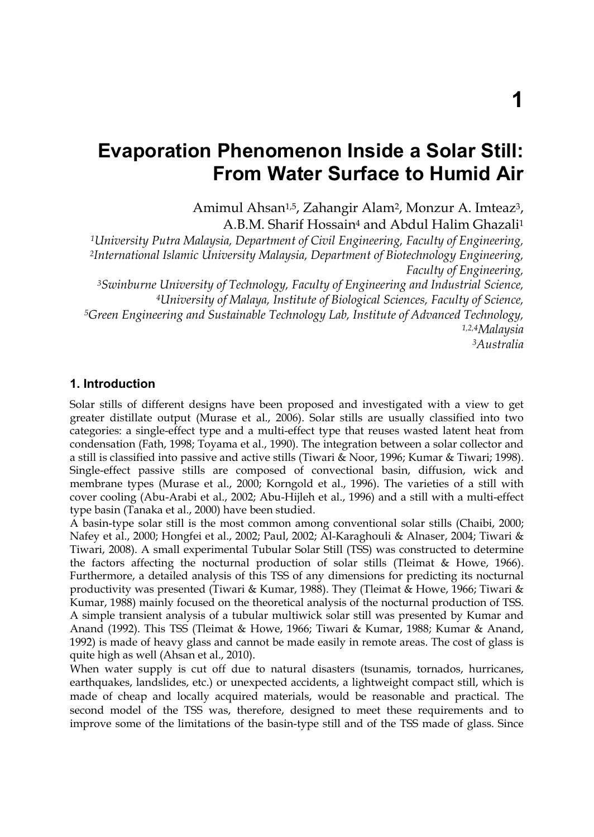# **Evaporation Phenomenon Inside a Solar Still: From Water Surface to Humid Air**

Amimul Ahsan<sup>1,5</sup>, Zahangir Alam<sup>2</sup>, Monzur A. Imteaz<sup>3</sup>, A.B.M. Sharif Hossain4 and Abdul Halim Ghazali1

*1University Putra Malaysia, Department of Civil Engineering, Faculty of Engineering, 2International Islamic University Malaysia, Department of Biotechnology Engineering, Faculty of Engineering,* 

*3Swinburne University of Technology, Faculty of Engineering and Industrial Science, 4University of Malaya, Institute of Biological Sciences, Faculty of Science, 5Green Engineering and Sustainable Technology Lab, Institute of Advanced Technology, 1,2,4Malaysia 3Australia* 

# **1. Introduction**

Solar stills of different designs have been proposed and investigated with a view to get greater distillate output (Murase et al., 2006). Solar stills are usually classified into two categories: a single-effect type and a multi-effect type that reuses wasted latent heat from condensation (Fath, 1998; Toyama et al., 1990). The integration between a solar collector and a still is classified into passive and active stills (Tiwari & Noor, 1996; Kumar & Tiwari; 1998). Single-effect passive stills are composed of convectional basin, diffusion, wick and membrane types (Murase et al., 2000; Korngold et al., 1996). The varieties of a still with cover cooling (Abu-Arabi et al., 2002; Abu-Hijleh et al., 1996) and a still with a multi-effect type basin (Tanaka et al., 2000) have been studied.

A basin-type solar still is the most common among conventional solar stills (Chaibi, 2000; Nafey et al., 2000; Hongfei et al., 2002; Paul, 2002; Al-Karaghouli & Alnaser, 2004; Tiwari & Tiwari, 2008). A small experimental Tubular Solar Still (TSS) was constructed to determine the factors affecting the nocturnal production of solar stills (Tleimat & Howe, 1966). Furthermore, a detailed analysis of this TSS of any dimensions for predicting its nocturnal productivity was presented (Tiwari & Kumar, 1988). They (Tleimat & Howe, 1966; Tiwari & Kumar, 1988) mainly focused on the theoretical analysis of the nocturnal production of TSS. A simple transient analysis of a tubular multiwick solar still was presented by Kumar and Anand (1992). This TSS (Tleimat & Howe, 1966; Tiwari & Kumar, 1988; Kumar & Anand, 1992) is made of heavy glass and cannot be made easily in remote areas. The cost of glass is quite high as well (Ahsan et al., 2010).

When water supply is cut off due to natural disasters (tsunamis, tornados, hurricanes, earthquakes, landslides, etc.) or unexpected accidents, a lightweight compact still, which is made of cheap and locally acquired materials, would be reasonable and practical. The second model of the TSS was, therefore, designed to meet these requirements and to improve some of the limitations of the basin-type still and of the TSS made of glass. Since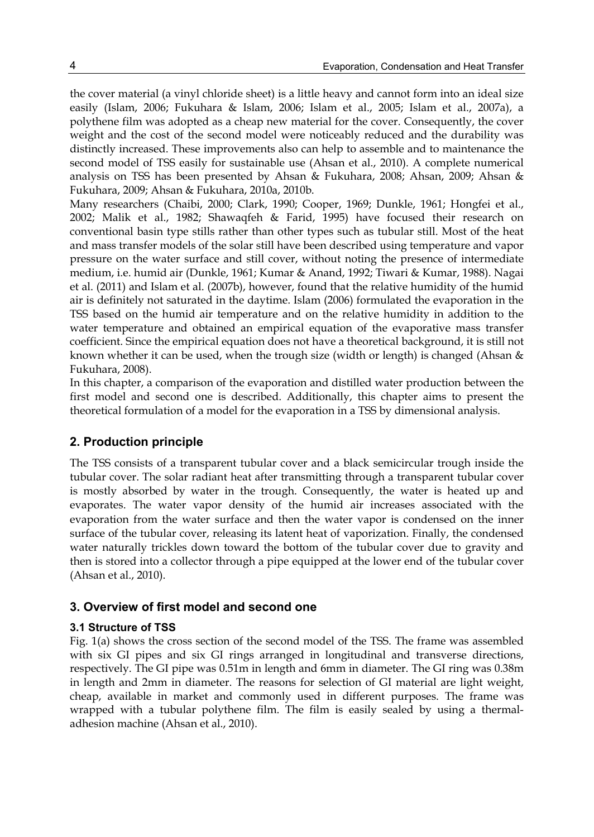the cover material (a vinyl chloride sheet) is a little heavy and cannot form into an ideal size easily (Islam, 2006; Fukuhara & Islam, 2006; Islam et al., 2005; Islam et al., 2007a), a polythene film was adopted as a cheap new material for the cover. Consequently, the cover weight and the cost of the second model were noticeably reduced and the durability was distinctly increased. These improvements also can help to assemble and to maintenance the second model of TSS easily for sustainable use (Ahsan et al., 2010). A complete numerical analysis on TSS has been presented by Ahsan & Fukuhara, 2008; Ahsan, 2009; Ahsan & Fukuhara, 2009; Ahsan & Fukuhara, 2010a, 2010b.

Many researchers (Chaibi, 2000; Clark, 1990; Cooper, 1969; Dunkle, 1961; Hongfei et al., 2002; Malik et al., 1982; Shawaqfeh & Farid, 1995) have focused their research on conventional basin type stills rather than other types such as tubular still. Most of the heat and mass transfer models of the solar still have been described using temperature and vapor pressure on the water surface and still cover, without noting the presence of intermediate medium, i.e. humid air (Dunkle, 1961; Kumar & Anand, 1992; Tiwari & Kumar, 1988). Nagai et al. (2011) and Islam et al. (2007b), however, found that the relative humidity of the humid air is definitely not saturated in the daytime. Islam (2006) formulated the evaporation in the TSS based on the humid air temperature and on the relative humidity in addition to the water temperature and obtained an empirical equation of the evaporative mass transfer coefficient. Since the empirical equation does not have a theoretical background, it is still not known whether it can be used, when the trough size (width or length) is changed (Ahsan & Fukuhara, 2008).

In this chapter, a comparison of the evaporation and distilled water production between the first model and second one is described. Additionally, this chapter aims to present the theoretical formulation of a model for the evaporation in a TSS by dimensional analysis.

# **2. Production principle**

The TSS consists of a transparent tubular cover and a black semicircular trough inside the tubular cover. The solar radiant heat after transmitting through a transparent tubular cover is mostly absorbed by water in the trough. Consequently, the water is heated up and evaporates. The water vapor density of the humid air increases associated with the evaporation from the water surface and then the water vapor is condensed on the inner surface of the tubular cover, releasing its latent heat of vaporization. Finally, the condensed water naturally trickles down toward the bottom of the tubular cover due to gravity and then is stored into a collector through a pipe equipped at the lower end of the tubular cover (Ahsan et al., 2010).

# **3. Overview of first model and second one**

# **3.1 Structure of TSS**

Fig. 1(a) shows the cross section of the second model of the TSS. The frame was assembled with six GI pipes and six GI rings arranged in longitudinal and transverse directions, respectively. The GI pipe was 0.51m in length and 6mm in diameter. The GI ring was 0.38m in length and 2mm in diameter. The reasons for selection of GI material are light weight, cheap, available in market and commonly used in different purposes. The frame was wrapped with a tubular polythene film. The film is easily sealed by using a thermaladhesion machine (Ahsan et al., 2010).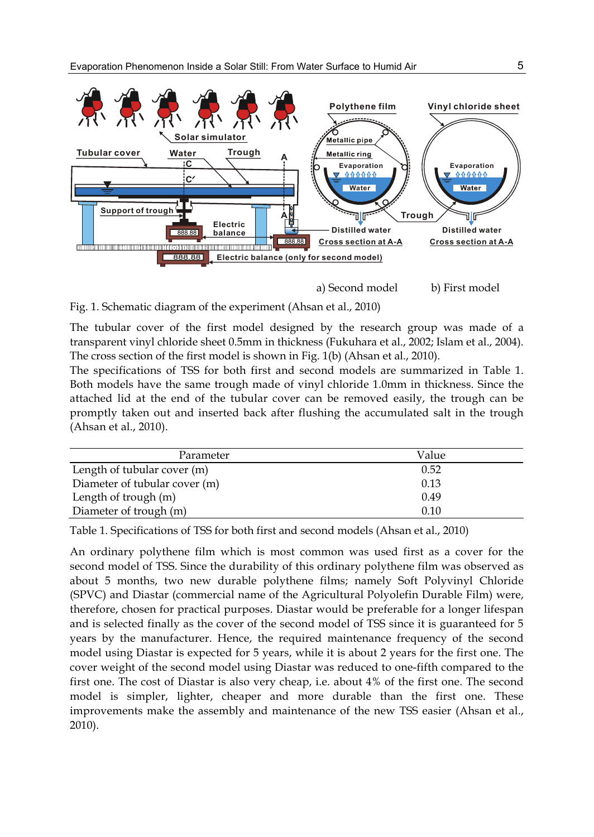

a) Second model b) First model

Fig. 1. Schematic diagram of the experiment (Ahsan et al., 2010)

The tubular cover of the first model designed by the research group was made of a transparent vinyl chloride sheet 0.5mm in thickness (Fukuhara et al., 2002; Islam et al., 2004). The cross section of the first model is shown in Fig. 1(b) (Ahsan et al., 2010).

The specifications of TSS for both first and second models are summarized in Table 1. Both models have the same trough made of vinyl chloride 1.0mm in thickness. Since the attached lid at the end of the tubular cover can be removed easily, the trough can be promptly taken out and inserted back after flushing the accumulated salt in the trough (Ahsan et al., 2010).

| Parameter                     | Value |
|-------------------------------|-------|
| Length of tubular cover (m)   | 0.52  |
| Diameter of tubular cover (m) | 0.13  |
| Length of trough (m)          | 0.49  |
| Diameter of trough (m)        | 0.10  |

Table 1. Specifications of TSS for both first and second models (Ahsan et al., 2010)

An ordinary polythene film which is most common was used first as a cover for the second model of TSS. Since the durability of this ordinary polythene film was observed as about 5 months, two new durable polythene films; namely Soft Polyvinyl Chloride (SPVC) and Diastar (commercial name of the Agricultural Polyolefin Durable Film) were, therefore, chosen for practical purposes. Diastar would be preferable for a longer lifespan and is selected finally as the cover of the second model of TSS since it is guaranteed for 5 years by the manufacturer. Hence, the required maintenance frequency of the second model using Diastar is expected for 5 years, while it is about 2 years for the first one. The cover weight of the second model using Diastar was reduced to one-fifth compared to the first one. The cost of Diastar is also very cheap, i.e. about 4% of the first one. The second model is simpler, lighter, cheaper and more durable than the first one. These improvements make the assembly and maintenance of the new TSS easier (Ahsan et al., 2010).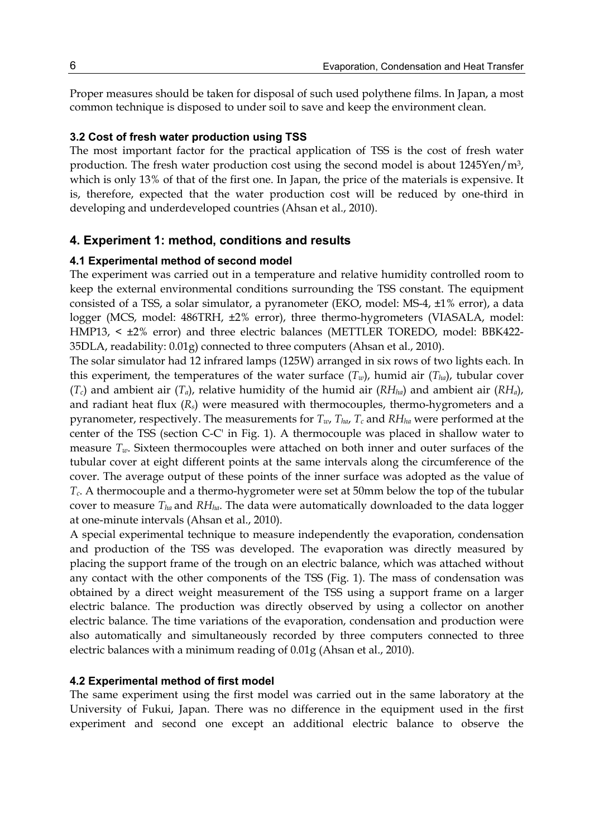Proper measures should be taken for disposal of such used polythene films. In Japan, a most common technique is disposed to under soil to save and keep the environment clean.

### **3.2 Cost of fresh water production using TSS**

The most important factor for the practical application of TSS is the cost of fresh water production. The fresh water production cost using the second model is about  $1245$ Yen/m<sup>3</sup>, which is only 13% of that of the first one. In Japan, the price of the materials is expensive. It is, therefore, expected that the water production cost will be reduced by one-third in developing and underdeveloped countries (Ahsan et al., 2010).

### **4. Experiment 1: method, conditions and results**

### **4.1 Experimental method of second model**

The experiment was carried out in a temperature and relative humidity controlled room to keep the external environmental conditions surrounding the TSS constant. The equipment consisted of a TSS, a solar simulator, a pyranometer (EKO, model: MS-4, ±1% error), a data logger (MCS, model: 486TRH, ±2% error), three thermo-hygrometers (VIASALA, model: HMP13, < ±2% error) and three electric balances (METTLER TOREDO, model: BBK422- 35DLA, readability: 0.01g) connected to three computers (Ahsan et al., 2010).

The solar simulator had 12 infrared lamps (125W) arranged in six rows of two lights each. In this experiment, the temperatures of the water surface  $(T_w)$ , humid air  $(T_{ha})$ , tubular cover  $(T_c)$  and ambient air  $(T_a)$ , relative humidity of the humid air  $(RH<sub>ha</sub>)$  and ambient air  $(RH_a)$ , and radiant heat flux  $(R_s)$  were measured with thermocouples, thermo-hygrometers and a pyranometer, respectively. The measurements for  $T_{w}$ ,  $T_{ha}$ ,  $T_c$  and  $RH_{ha}$  were performed at the center of the TSS (section C-C' in Fig. 1). A thermocouple was placed in shallow water to measure  $T_w$ . Sixteen thermocouples were attached on both inner and outer surfaces of the tubular cover at eight different points at the same intervals along the circumference of the cover. The average output of these points of the inner surface was adopted as the value of *Tc*. A thermocouple and a thermo-hygrometer were set at 50mm below the top of the tubular cover to measure *Tha* and *RHha*. The data were automatically downloaded to the data logger at one-minute intervals (Ahsan et al., 2010).

A special experimental technique to measure independently the evaporation, condensation and production of the TSS was developed. The evaporation was directly measured by placing the support frame of the trough on an electric balance, which was attached without any contact with the other components of the TSS (Fig. 1). The mass of condensation was obtained by a direct weight measurement of the TSS using a support frame on a larger electric balance. The production was directly observed by using a collector on another electric balance. The time variations of the evaporation, condensation and production were also automatically and simultaneously recorded by three computers connected to three electric balances with a minimum reading of 0.01g (Ahsan et al., 2010).

#### **4.2 Experimental method of first model**

The same experiment using the first model was carried out in the same laboratory at the University of Fukui, Japan. There was no difference in the equipment used in the first experiment and second one except an additional electric balance to observe the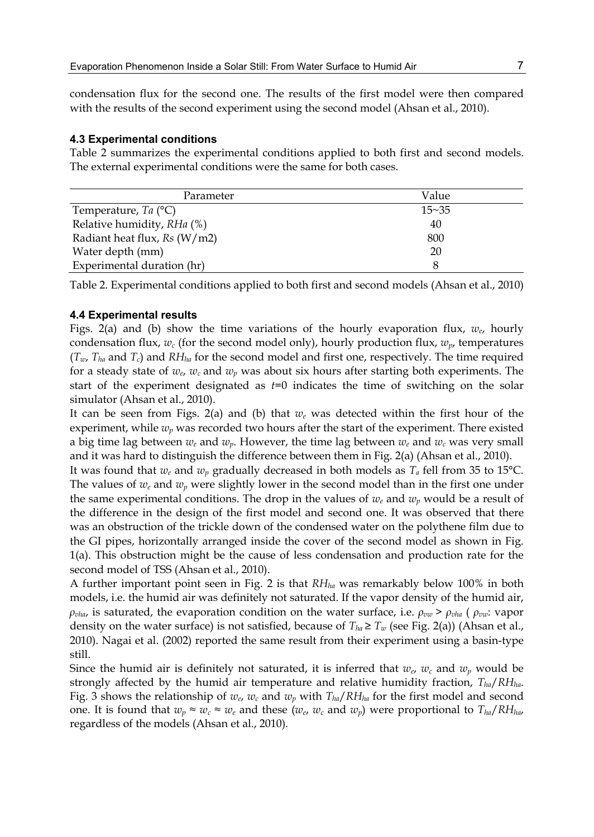condensation flux for the second one. The results of the first model were then compared with the results of the second experiment using the second model (Ahsan et al., 2010).

#### **4.3 Experimental conditions**

Table 2 summarizes the experimental conditions applied to both first and second models. The external experimental conditions were the same for both cases.

| Parameter                     | Value     |
|-------------------------------|-----------|
| Temperature, Ta $(^{\circ}C)$ | $15 - 35$ |
| Relative humidity, RHa (%)    | 40        |
| Radiant heat flux, Rs (W/m2)  | 800       |
| Water depth (mm)              | 20        |
| Experimental duration (hr)    | 8         |

Table 2. Experimental conditions applied to both first and second models (Ahsan et al., 2010)

#### **4.4 Experimental results**

Figs. 2(a) and (b) show the time variations of the hourly evaporation flux, *we*, hourly condensation flux,  $w_c$  (for the second model only), hourly production flux,  $w_p$ , temperatures  $(T_w, T_{ha}$  and  $T_c$ ) and  $RH_{ha}$  for the second model and first one, respectively. The time required for a steady state of  $w_e$ ,  $w_c$  and  $w_p$  was about six hours after starting both experiments. The start of the experiment designated as *t*=0 indicates the time of switching on the solar simulator (Ahsan et al., 2010).

It can be seen from Figs. 2(a) and (b) that  $w_e$  was detected within the first hour of the experiment, while *wp* was recorded two hours after the start of the experiment. There existed a big time lag between  $w_e$  and  $w_p$ . However, the time lag between  $w_e$  and  $w_c$  was very small and it was hard to distinguish the difference between them in Fig. 2(a) (Ahsan et al., 2010).

It was found that *we* and *wp* gradually decreased in both models as *Ta* fell from 35 to 15°C. The values of  $w_e$  and  $w_p$  were slightly lower in the second model than in the first one under the same experimental conditions. The drop in the values of  $w_e$  and  $w_p$  would be a result of the difference in the design of the first model and second one. It was observed that there was an obstruction of the trickle down of the condensed water on the polythene film due to the GI pipes, horizontally arranged inside the cover of the second model as shown in Fig. 1(a). This obstruction might be the cause of less condensation and production rate for the second model of TSS (Ahsan et al., 2010).

A further important point seen in Fig. 2 is that *RHha* was remarkably below 100% in both models, i.e. the humid air was definitely not saturated. If the vapor density of the humid air, *ρ*<sub>*vha</sub>*, is saturated, the evaporation condition on the water surface, i.e.  $ρ_{vw}$  >  $ρ_{vha}$  ( $ρ_{vw}$ : vapor</sub> density on the water surface) is not satisfied, because of  $T_{ha} \geq T_w$  (see Fig. 2(a)) (Ahsan et al., 2010). Nagai et al. (2002) reported the same result from their experiment using a basin-type still.

Since the humid air is definitely not saturated, it is inferred that  $w_e$ ,  $w_c$  and  $w_p$  would be strongly affected by the humid air temperature and relative humidity fraction, *Tha*/*RHha*. Fig. 3 shows the relationship of  $w_e$ ,  $w_c$  and  $w_p$  with  $T_{ha}/RH_{ha}$  for the first model and second one. It is found that  $w_p \approx w_c \approx w_e$  and these  $(w_e, w_c \text{ and } w_p)$  were proportional to  $T_{ha}/RH_{ha}$ , regardless of the models (Ahsan et al., 2010).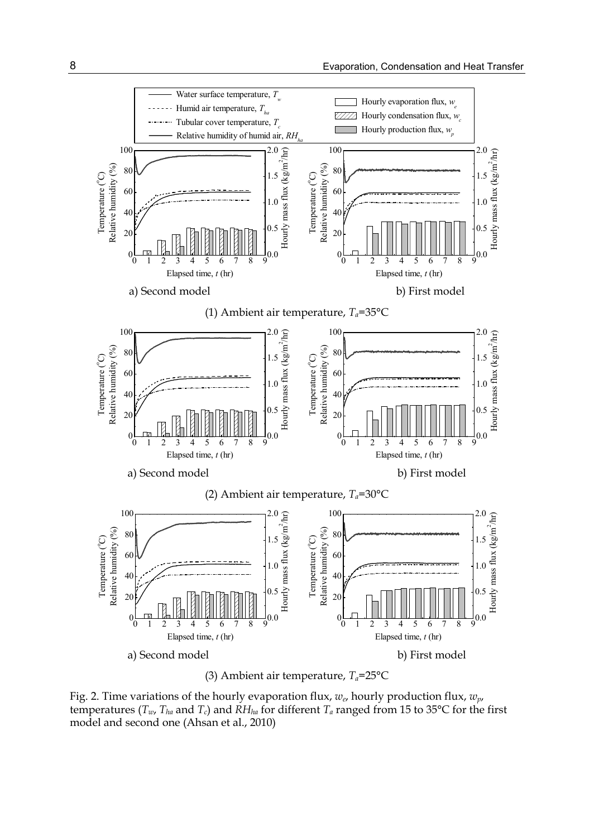

(3) Ambient air temperature,  $T_a$ =25°C

Fig. 2. Time variations of the hourly evaporation flux, *we*, hourly production flux, *wp*, temperatures ( $T_w$ ,  $T_{ha}$  and  $T_c$ ) and  $RH_{ha}$  for different  $T_a$  ranged from 15 to 35°C for the first model and second one (Ahsan et al., 2010)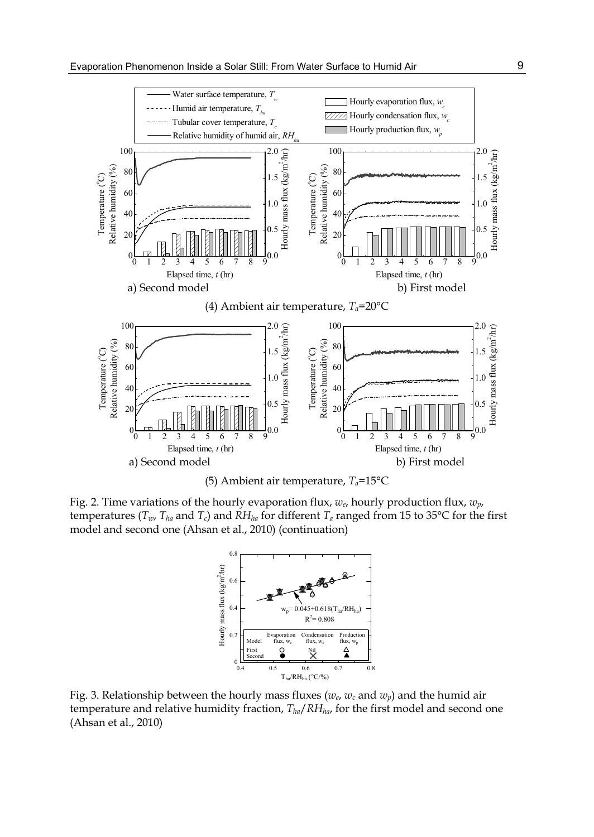



Fig. 2. Time variations of the hourly evaporation flux, *we*, hourly production flux, *wp*, temperatures ( $T_w$ ,  $T_{ha}$  and  $T_c$ ) and  $RH_{ha}$  for different  $T_a$  ranged from 15 to 35 $\degree$ C for the first model and second one (Ahsan et al., 2010) (continuation)



Fig. 3. Relationship between the hourly mass fluxes (*we*, *wc* and *wp*) and the humid air temperature and relative humidity fraction, *Tha*/*RHha*, for the first model and second one (Ahsan et al., 2010)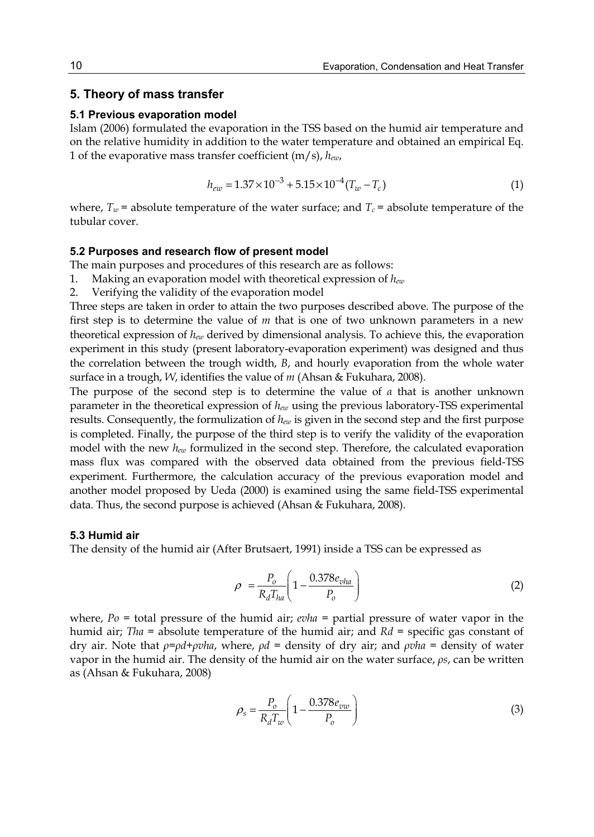## **5. Theory of mass transfer**

#### **5.1 Previous evaporation model**

Islam (2006) formulated the evaporation in the TSS based on the humid air temperature and on the relative humidity in addition to the water temperature and obtained an empirical Eq. 1 of the evaporative mass transfer coefficient (m/s), *hew*,

$$
h_{ew} = 1.37 \times 10^{-3} + 5.15 \times 10^{-4} (T_w - T_c)
$$
 (1)

where,  $T_w$  = absolute temperature of the water surface; and  $T_c$  = absolute temperature of the tubular cover.

### **5.2 Purposes and research flow of present model**

The main purposes and procedures of this research are as follows:

- 1. Making an evaporation model with theoretical expression of *hew*
- 2. Verifying the validity of the evaporation model

Three steps are taken in order to attain the two purposes described above. The purpose of the first step is to determine the value of *m* that is one of two unknown parameters in a new theoretical expression of *hew* derived by dimensional analysis. To achieve this, the evaporation experiment in this study (present laboratory-evaporation experiment) was designed and thus the correlation between the trough width, *B*, and hourly evaporation from the whole water surface in a trough, *W*, identifies the value of *m* (Ahsan & Fukuhara, 2008).

The purpose of the second step is to determine the value of *α* that is another unknown parameter in the theoretical expression of *hew* using the previous laboratory-TSS experimental results. Consequently, the formulization of *hew* is given in the second step and the first purpose is completed. Finally, the purpose of the third step is to verify the validity of the evaporation model with the new *hew* formulized in the second step. Therefore, the calculated evaporation mass flux was compared with the observed data obtained from the previous field-TSS experiment. Furthermore, the calculation accuracy of the previous evaporation model and another model proposed by Ueda (2000) is examined using the same field-TSS experimental data. Thus, the second purpose is achieved (Ahsan & Fukuhara, 2008).

#### **5.3 Humid air**

The density of the humid air (After Brutsaert, 1991) inside a TSS can be expressed as

$$
\rho = \frac{P_o}{R_d T_{ha}} \left( 1 - \frac{0.378 e_{vha}}{P_o} \right) \tag{2}
$$

where, *Po* = total pressure of the humid air; *evha* = partial pressure of water vapor in the humid air; *Tha* = absolute temperature of the humid air; and *Rd* = specific gas constant of dry air. Note that *ρ*=*ρd*+*ρvha*, where, *ρd* = density of dry air; and *ρvha* = density of water vapor in the humid air. The density of the humid air on the water surface, *ρs*, can be written as (Ahsan & Fukuhara, 2008)

$$
\rho_s = \frac{P_o}{R_d T_w} \left( 1 - \frac{0.378 e_{vw}}{P_o} \right) \tag{3}
$$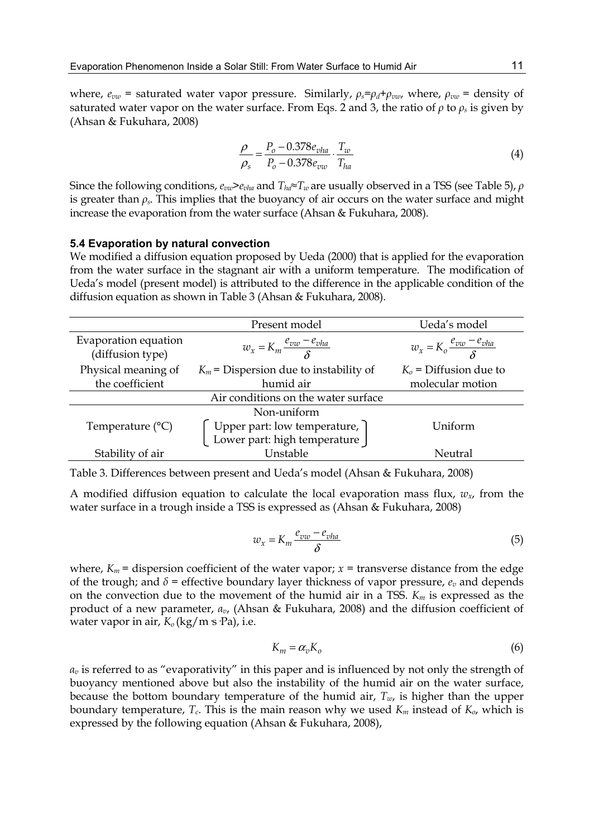where,  $e_{vw}$  = saturated water vapor pressure. Similarly,  $\rho_s = \rho_d + \rho_{vw}$ , where,  $\rho_{vw}$  = density of saturated water vapor on the water surface. From Eqs. 2 and 3, the ratio of  $\rho$  to  $\rho_s$  is given by (Ahsan & Fukuhara, 2008)

$$
\frac{\rho}{\rho_s} = \frac{P_o - 0.378e_{vha}}{P_o - 0.378e_{vw}} \cdot \frac{T_w}{T_{ha}}
$$
(4)

Since the following conditions, *evw>evha* and *Tha≈Tw* are usually observed in a TSS (see Table 5), *ρ* is greater than  $\rho_s$ . This implies that the buoyancy of air occurs on the water surface and might increase the evaporation from the water surface (Ahsan & Fukuhara, 2008).

### **5.4 Evaporation by natural convection**

We modified a diffusion equation proposed by Ueda (2000) that is applied for the evaporation from the water surface in the stagnant air with a uniform temperature. The modification of Ueda's model (present model) is attributed to the difference in the applicable condition of the diffusion equation as shown in Table 3 (Ahsan & Fukuhara, 2008).

|                                          | Present model                            | Ueda's model                           |
|------------------------------------------|------------------------------------------|----------------------------------------|
| Evaporation equation<br>(diffusion type) | $w_x = K_m \frac{e_{vw} - e_{vha}}{s}$   | $w_x = K_o \frac{e_{vw} - e_{vha}}{s}$ |
| Physical meaning of                      | $K_m$ = Dispersion due to instability of | $K_0$ = Diffusion due to               |
| the coefficient                          | humid air                                | molecular motion                       |
|                                          | Air conditions on the water surface      |                                        |
|                                          | Non-uniform                              |                                        |
| Temperature $(^{\circ}C)$                | Upper part: low temperature,             | Uniform                                |
|                                          | Lower part: high temperature             |                                        |
| Stability of air                         | Unstable                                 | Neutral                                |

Table 3. Differences between present and Ueda's model (Ahsan & Fukuhara, 2008)

A modified diffusion equation to calculate the local evaporation mass flux, *wx*, from the water surface in a trough inside a TSS is expressed as (Ahsan & Fukuhara, 2008)

$$
w_x = K_m \frac{e_{vw} - e_{vha}}{\delta} \tag{5}
$$

where,  $K_m$  = dispersion coefficient of the water vapor;  $x =$  transverse distance from the edge of the trough; and  $\delta$  = effective boundary layer thickness of vapor pressure,  $e_v$  and depends on the convection due to the movement of the humid air in a TSS. *Km* is expressed as the product of a new parameter, *αv*, (Ahsan & Fukuhara, 2008) and the diffusion coefficient of water vapor in air,  $K_0$  (kg/m s·Pa), i.e.

$$
K_m = \alpha_v K_o \tag{6}
$$

*αv* is referred to as "evaporativity" in this paper and is influenced by not only the strength of buoyancy mentioned above but also the instability of the humid air on the water surface, because the bottom boundary temperature of the humid air,  $T_w$ , is higher than the upper boundary temperature,  $T_c$ . This is the main reason why we used  $K_m$  instead of  $K_o$ , which is expressed by the following equation (Ahsan & Fukuhara, 2008),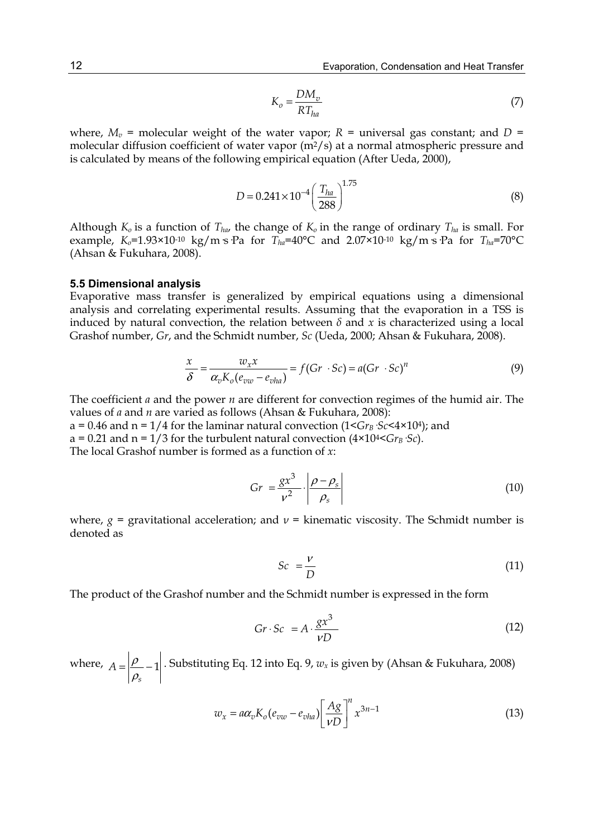$$
K_o = \frac{DM_v}{RT_{ha}}\tag{7}
$$

where,  $M_v$  = molecular weight of the water vapor;  $R$  = universal gas constant; and  $D$  = molecular diffusion coefficient of water vapor  $(m^2/s)$  at a normal atmospheric pressure and is calculated by means of the following empirical equation (After Ueda, 2000),

$$
D = 0.241 \times 10^{-4} \left(\frac{T_{ha}}{288}\right)^{1.75} \tag{8}
$$

Although  $K_0$  is a function of  $T_{ha}$ , the change of  $K_0$  in the range of ordinary  $T_{ha}$  is small. For example,  $K_0$ =1.93×10<sup>-10</sup> kg/m·s·Pa for  $T_{ha}$ =40°C and 2.07×10<sup>-10</sup> kg/m·s·Pa for  $T_{ha}$ =70°C (Ahsan & Fukuhara, 2008).

#### **5.5 Dimensional analysis**

Evaporative mass transfer is generalized by empirical equations using a dimensional analysis and correlating experimental results. Assuming that the evaporation in a TSS is induced by natural convection, the relation between  $\delta$  and  $x$  is characterized using a local Grashof number, *Gr*, and the Schmidt number, *Sc* (Ueda, 2000; Ahsan & Fukuhara, 2008).

$$
\frac{x}{\delta} = \frac{w_x x}{\alpha_v K_o (e_{vw} - e_{vha})} = f (Gr \cdot Sc) = a (Gr \cdot Sc)^n
$$
\n(9)

The coefficient *a* and the power *n* are different for convection regimes of the humid air. The values of *a* and *n* are varied as follows (Ahsan & Fukuhara, 2008):

a = 0.46 and  $n = 1/4$  for the laminar natural convection  $(1 \leq Gr_B \leq C \leq 4 \times 10^4)$ ; and a = 0.21 and  $n = 1/3$  for the turbulent natural convection ( $4 \times 10^{4} < Gr_B \cdot Sc$ ). The local Grashof number is formed as a function of *x*:

$$
Gr = \frac{gx^3}{v^2} \cdot \left| \frac{\rho - \rho_s}{\rho_s} \right| \tag{10}
$$

where,  $g =$  gravitational acceleration; and  $v =$  kinematic viscosity. The Schmidt number is denoted as

$$
Sc = \frac{v}{D} \tag{11}
$$

The product of the Grashof number and the Schmidt number is expressed in the form

$$
Gr \cdot Sc = A \cdot \frac{gx^3}{vD} \tag{12}
$$

where,  $A = \frac{\rho}{\rho} - 1$ *s*  $A = \left| \frac{\rho}{\rho_s} - 1 \right|$ . Substituting Eq. 12 into Eq. 9,  $w_x$  is given by (Ahsan & Fukuhara, 2008)

$$
w_x = a\alpha_v K_o(e_{vw} - e_{vha}) \left[\frac{Ag}{vD}\right]^n x^{3n-1}
$$
 (13)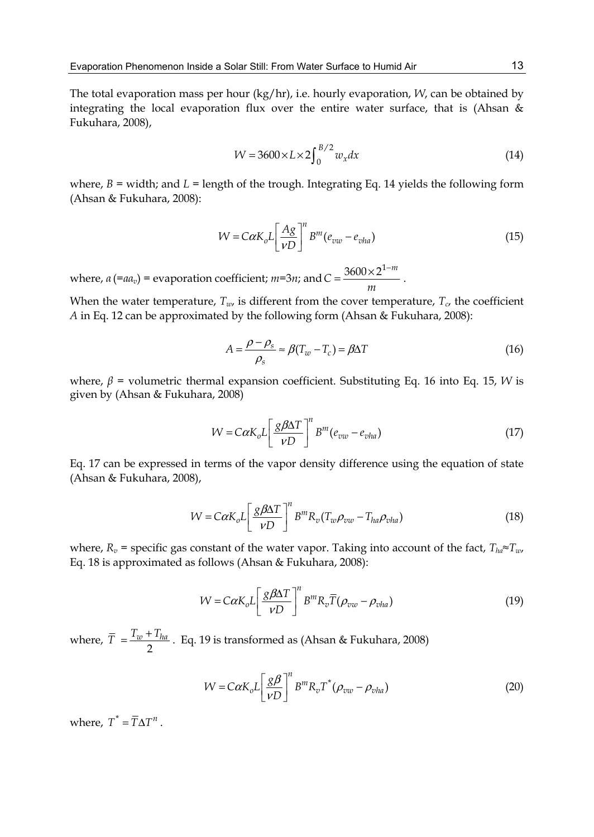The total evaporation mass per hour (kg/hr), i.e. hourly evaporation, *W*, can be obtained by integrating the local evaporation flux over the entire water surface, that is (Ahsan & Fukuhara, 2008),

$$
W = 3600 \times L \times 2 \int_0^{B/2} w_x dx
$$
 (14)

where,  $B =$  width; and  $L =$  length of the trough. Integrating Eq. 14 yields the following form (Ahsan & Fukuhara, 2008):

$$
W = C\alpha K_o L \left[ \frac{Ag}{vD} \right]^n B^m (e_{vw} - e_{vha})
$$
\n(15)

where,  $a$  (= $aa_v$ ) = evaporation coefficient;  $m=3n$ ; and  $C = \frac{3600 \times 2^{1-m}}{2m}$  $C = \frac{3600 \times 2^{1-m}}{m}$ .

When the water temperature,  $T_w$ , is different from the cover temperature,  $T_c$ , the coefficient *A* in Eq. 12 can be approximated by the following form (Ahsan & Fukuhara, 2008):

$$
A = \frac{\rho - \rho_s}{\rho_s} \approx \beta (T_w - T_c) = \beta \Delta T \tag{16}
$$

where,  $β =$  volumetric thermal expansion coefficient. Substituting Eq. 16 into Eq. 15, *W* is given by (Ahsan & Fukuhara, 2008)

$$
W = C\alpha K_o L \left[ \frac{g\beta \Delta T}{\nu D} \right]^n B^m (e_{vw} - e_{vha})
$$
\n(17)

Eq. 17 can be expressed in terms of the vapor density difference using the equation of state (Ahsan & Fukuhara, 2008),

$$
W = C\alpha K_o L \left[ \frac{g\beta\Delta T}{\nu D} \right]^n B^m R_v (T_w \rho_{vw} - T_{ha} \rho_{vha})
$$
\n(18)

where,  $R_v$  = specific gas constant of the water vapor. Taking into account of the fact,  $T_{ha} \approx T_{w}$ , Eq. 18 is approximated as follows (Ahsan & Fukuhara, 2008):

$$
W = C\alpha K_o L \left[ \frac{g\beta\Delta T}{\nu D} \right]^n B^m R_v \overline{T} (\rho_{vw} - \rho_{vha})
$$
\n(19)

where,  $\bar{T} = \frac{T_w + T_{ha}}{2}$ . Eq. 19 is transformed as (Ahsan & Fukuhara, 2008)

$$
W = C\alpha K_o L \left[ \frac{g\beta}{vD} \right]^n B^m R_v T^*(\rho_{vw} - \rho_{vha})
$$
 (20)

where,  $T^* = \overline{T}\Delta T^n$ .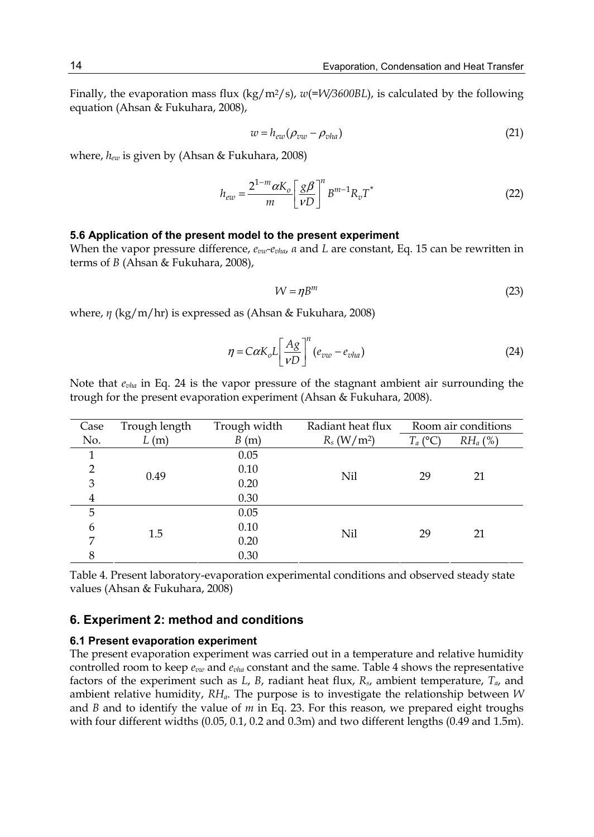Finally, the evaporation mass flux (kg/m<sup>2</sup>/s),  $w(=V)/3600BL$ ), is calculated by the following equation (Ahsan & Fukuhara, 2008),

$$
w = h_{ew}(\rho_{vw} - \rho_{vha})
$$
\n(21)

where, *hew* is given by (Ahsan & Fukuhara, 2008)

$$
h_{ew} = \frac{2^{1-m}\alpha K_o}{m} \left[\frac{g\beta}{vD}\right]^n B^{m-1} R_v T^*
$$
\n(22)

#### **5.6 Application of the present model to the present experiment**

When the vapor pressure difference, *evw-evha*, *α* and *L* are constant, Eq. 15 can be rewritten in terms of *B* (Ahsan & Fukuhara, 2008),

$$
W = \eta B^m \tag{23}
$$

where, *η* (kg/m/hr) is expressed as (Ahsan & Fukuhara, 2008)

$$
\eta = C\alpha K_o L \left[ \frac{Ag}{\nu D} \right]^n (e_{vw} - e_{vha})
$$
\n(24)

Note that *evha* in Eq. 24 is the vapor pressure of the stagnant ambient air surrounding the trough for the present evaporation experiment (Ahsan & Fukuhara, 2008).

| Case           | Trough length<br>Trough width |      | Radiant heat flux         |            | Room air conditions |
|----------------|-------------------------------|------|---------------------------|------------|---------------------|
| No.            | L(m)                          | B(m) | $R_s$ (W/m <sup>2</sup> ) | $T_a$ (°C) | $RH_a$ (%)          |
| 1              |                               | 0.05 |                           |            |                     |
| $\overline{2}$ | 0.49                          | 0.10 | Nil                       | 29         | 21                  |
| 3              |                               | 0.20 |                           |            |                     |
| 4              |                               | 0.30 |                           |            |                     |
| 5              |                               | 0.05 |                           |            |                     |
| 6              | 1.5                           | 0.10 | Nil                       | 29         | 21                  |
| 7              |                               | 0.20 |                           |            |                     |
| 8              |                               | 0.30 |                           |            |                     |

Table 4. Present laboratory-evaporation experimental conditions and observed steady state values (Ahsan & Fukuhara, 2008)

## **6. Experiment 2: method and conditions**

#### **6.1 Present evaporation experiment**

The present evaporation experiment was carried out in a temperature and relative humidity controlled room to keep *evw* and *evha* constant and the same. Table 4 shows the representative factors of the experiment such as *L*, *B*, radiant heat flux, *Rs*, ambient temperature, *Ta*, and ambient relative humidity, *RHa*. The purpose is to investigate the relationship between *W* and *B* and to identify the value of *m* in Eq. 23. For this reason, we prepared eight troughs with four different widths (0.05, 0.1, 0.2 and 0.3m) and two different lengths (0.49 and 1.5m).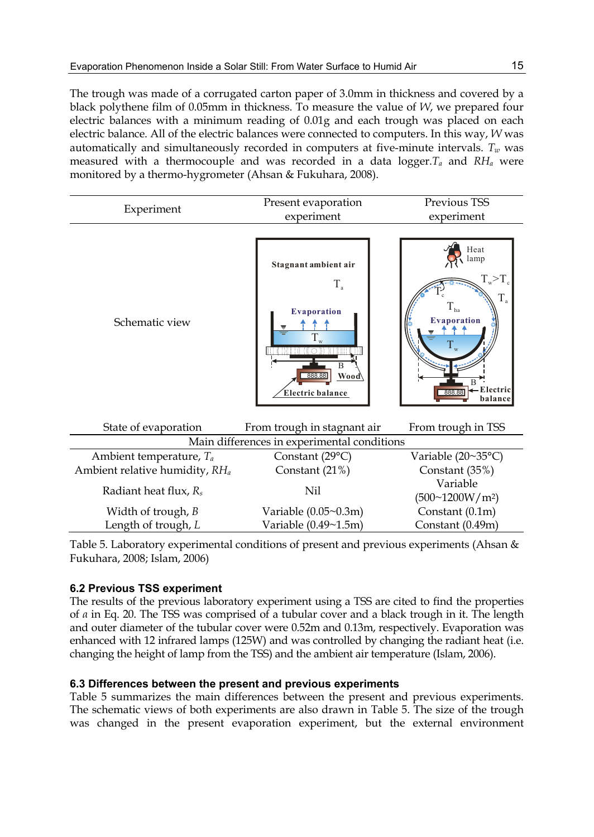The trough was made of a corrugated carton paper of 3.0mm in thickness and covered by a black polythene film of 0.05mm in thickness. To measure the value of *W*, we prepared four electric balances with a minimum reading of 0.01g and each trough was placed on each electric balance. All of the electric balances were connected to computers. In this way, *W* was automatically and simultaneously recorded in computers at five-minute intervals.  $T_w$  was measured with a thermocouple and was recorded in a data logger. $T_a$  and  $RH_a$  were monitored by a thermo-hygrometer (Ahsan & Fukuhara, 2008).

| Experiment                                 | Present evaporation<br>experiment                                                         | Previous TSS<br>experiment                                                                                            |  |
|--------------------------------------------|-------------------------------------------------------------------------------------------|-----------------------------------------------------------------------------------------------------------------------|--|
|                                            |                                                                                           |                                                                                                                       |  |
| Schematic view                             | Stagnant ambient air<br>$T_{\rm a}$<br>Evaporation<br>Wood\<br>888.88<br>Electric balance | Heat<br>lamp<br>$T_{w} > T_{c}$<br>$T_{\rm a}$<br>$\Gamma_{\text{ha}}$<br><b>Evaporation</b><br>- Electric<br>balance |  |
| State of evaporation                       | From trough in stagnant air                                                               | From trough in TSS                                                                                                    |  |
|                                            | Main differences in experimental conditions                                               |                                                                                                                       |  |
| Ambient temperature, $T_a$                 | Constant (29°C)                                                                           | Variable (20~35°C)                                                                                                    |  |
| Ambient relative humidity, RH <sub>a</sub> | Constant (21%)                                                                            | Constant (35%)                                                                                                        |  |
| Radiant heat flux, R <sub>s</sub>          | Nil                                                                                       | Variable<br>(500~1200W/m <sup>2</sup> )                                                                               |  |
| Width of trough, B                         | Variable $(0.05\textdegree 0.3m)$                                                         | Constant (0.1m)                                                                                                       |  |
| Length of trough, L                        | Variable (0.49~1.5m)                                                                      | Constant (0.49m)                                                                                                      |  |

Table 5. Laboratory experimental conditions of present and previous experiments (Ahsan & Fukuhara, 2008; Islam, 2006)

# **6.2 Previous TSS experiment**

The results of the previous laboratory experiment using a TSS are cited to find the properties of *α* in Eq. 20. The TSS was comprised of a tubular cover and a black trough in it. The length and outer diameter of the tubular cover were 0.52m and 0.13m, respectively. Evaporation was enhanced with 12 infrared lamps (125W) and was controlled by changing the radiant heat (i.e. changing the height of lamp from the TSS) and the ambient air temperature (Islam, 2006).

# **6.3 Differences between the present and previous experiments**

Table 5 summarizes the main differences between the present and previous experiments. The schematic views of both experiments are also drawn in Table 5. The size of the trough was changed in the present evaporation experiment, but the external environment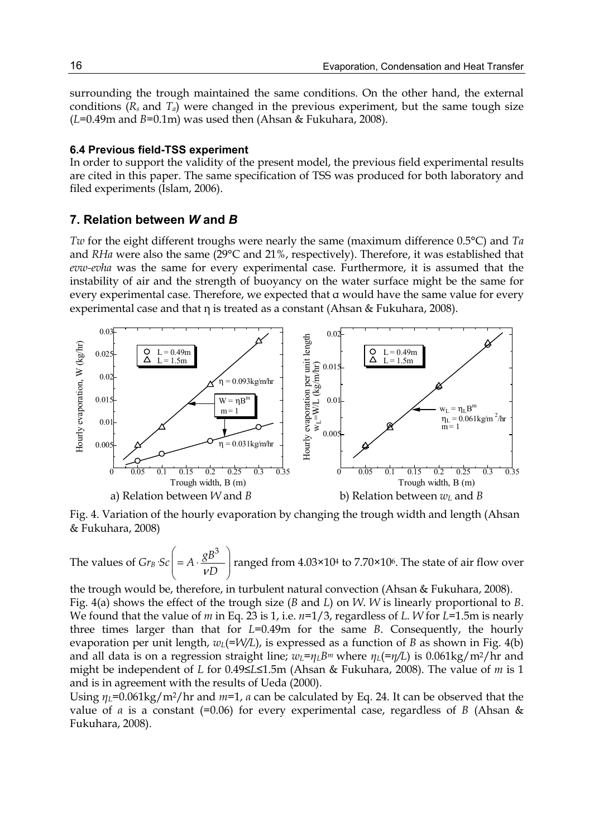surrounding the trough maintained the same conditions. On the other hand, the external conditions  $(R_s$  and  $T_a$ ) were changed in the previous experiment, but the same tough size  $(L=0.49m$  and  $B=0.1m$ ) was used then (Ahsan & Fukuhara, 2008).

### **6.4 Previous field-TSS experiment**

In order to support the validity of the present model, the previous field experimental results are cited in this paper. The same specification of TSS was produced for both laboratory and filed experiments (Islam, 2006).

# **7. Relation between** *W* **and** *B*

*Tw* for the eight different troughs were nearly the same (maximum difference 0.5°C) and *Ta*  and *RHa* were also the same (29°C and 21%, respectively). Therefore, it was established that *evw-evha* was the same for every experimental case. Furthermore, it is assumed that the instability of air and the strength of buoyancy on the water surface might be the same for every experimental case. Therefore, we expected that α would have the same value for every experimental case and that η is treated as a constant (Ahsan & Fukuhara, 2008).



Fig. 4. Variation of the hourly evaporation by changing the trough width and length (Ahsan & Fukuhara, 2008)

The values of  $Gr_B \cdot Sc \left( = A \cdot \frac{gB^3}{VD} \right)$  $(\nu \nu)$ ranged from 4.03×104 to 7.70×106. The state of air flow over

the trough would be, therefore, in turbulent natural convection (Ahsan & Fukuhara, 2008). Fig. 4(a) shows the effect of the trough size (*B* and *L*) on *W*. *W* is linearly proportional to *B*. We found that the value of *m* in Eq. 23 is 1, i.e. *n*=1/3, regardless of *L*. *W* for *L*=1.5m is nearly three times larger than that for *L*=0.49m for the same *B*. Consequently, the hourly evaporation per unit length,  $w_L$ (=*W*/L), is expressed as a function of *B* as shown in Fig. 4(b) and all data is on a regression straight line;  $w_L = \eta_L B^m$  where  $\eta_L = \eta/L$  is 0.061kg/m<sup>2</sup>/hr and might be independent of *L* for 0.49≤*L*≤1.5m (Ahsan & Fukuhara, 2008). The value of *m* is 1 and is in agreement with the results of Ueda (2000).

Using  $\eta_L$ =0.061kg/m<sup>2</sup>/hr and  $m=1$ , *a* can be calculated by Eq. 24. It can be observed that the value of *α* is a constant (=0.06) for every experimental case, regardless of *B* (Ahsan & Fukuhara, 2008).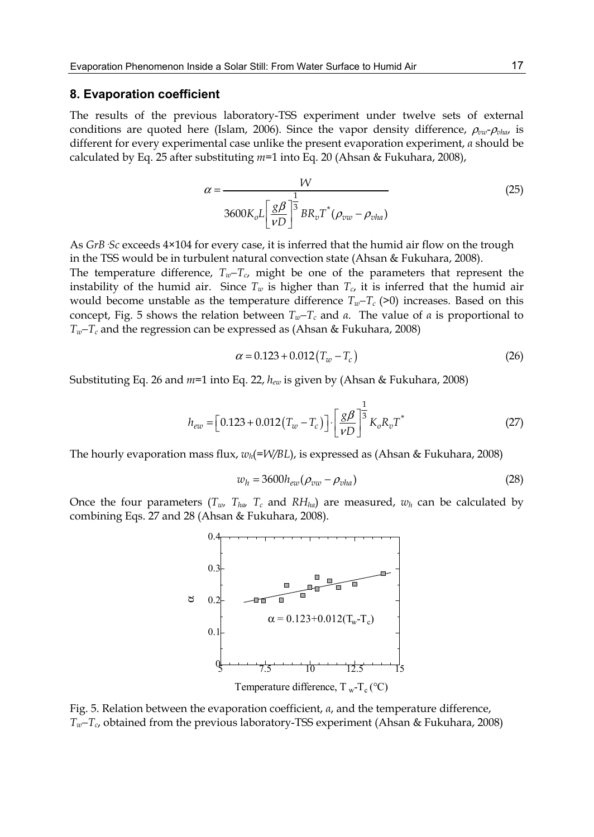### **8. Evaporation coefficient**

The results of the previous laboratory-TSS experiment under twelve sets of external conditions are quoted here (Islam, 2006). Since the vapor density difference, ρ*vw*-ρ*vha*, is different for every experimental case unlike the present evaporation experiment, *α* should be calculated by Eq. 25 after substituting *m*=1 into Eq. 20 (Ahsan & Fukuhara, 2008),

$$
\alpha = \frac{W}{3600K_oL\left[\frac{g\beta}{\nu D}\right]^{\frac{1}{3}}BR_vT^*(\rho_{vw} - \rho_{vha})}
$$
(25)

As *GrB·Sc* exceeds 4×104 for every case, it is inferred that the humid air flow on the trough in the TSS would be in turbulent natural convection state (Ahsan & Fukuhara, 2008).

The temperature difference,  $T_w - T_c$ , might be one of the parameters that represent the instability of the humid air. Since  $T_w$  is higher than  $T_c$ , it is inferred that the humid air would become unstable as the temperature difference  $T_w-T_c$  (>0) increases. Based on this concept, Fig. 5 shows the relation between  $T_w-T_c$  and *a*. The value of *a* is proportional to *Tw*−*T<sub>c</sub>* and the regression can be expressed as (Ahsan & Fukuhara, 2008)

$$
\alpha = 0.123 + 0.012(T_w - T_c)
$$
\n(26)

Substituting Eq. 26 and *m*=1 into Eq. 22, *hew* is given by (Ahsan & Fukuhara, 2008)

$$
h_{ew} = [0.123 + 0.012(T_w - T_c)] \cdot \left[\frac{g\beta}{\nu D}\right]^{\frac{1}{3}} K_o R_v T^*
$$
 (27)

The hourly evaporation mass flux, *wh*(*=W/BL*), is expressed as (Ahsan & Fukuhara, 2008)

$$
w_h = 3600h_{ew}(\rho_{vw} - \rho_{vha})
$$
\n<sup>(28)</sup>

Once the four parameters  $(T_w, T_{ha}, T_c$  and  $RH_{ha}$  are measured,  $w_h$  can be calculated by combining Eqs. 27 and 28 (Ahsan & Fukuhara, 2008).



Fig. 5. Relation between the evaporation coefficient, *α*, and the temperature difference, *Tw*−*T<sub>c</sub>*, obtained from the previous laboratory-TSS experiment (Ahsan & Fukuhara, 2008)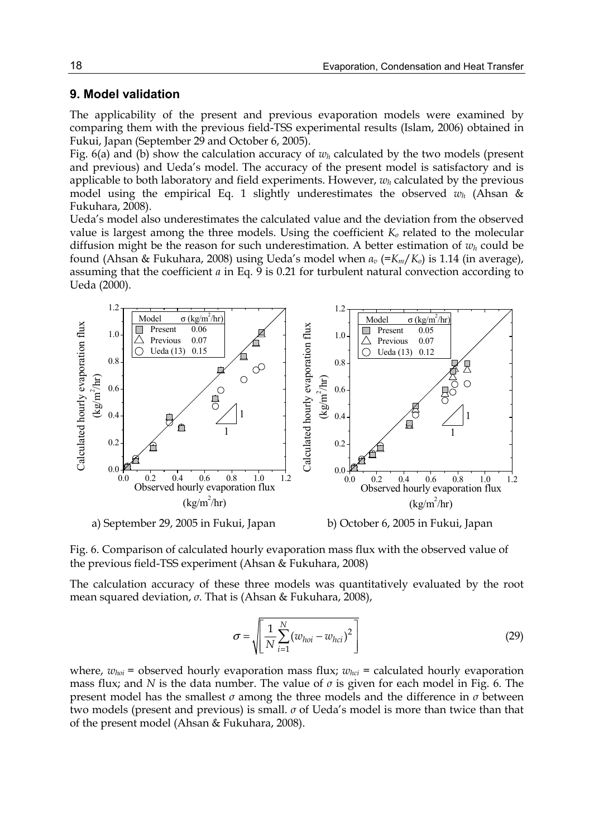# **9. Model validation**

The applicability of the present and previous evaporation models were examined by comparing them with the previous field-TSS experimental results (Islam, 2006) obtained in Fukui, Japan (September 29 and October 6, 2005).

Fig.  $6(a)$  and (b) show the calculation accuracy of  $w_h$  calculated by the two models (present and previous) and Ueda's model. The accuracy of the present model is satisfactory and is applicable to both laboratory and field experiments. However, *wh* calculated by the previous model using the empirical Eq. 1 slightly underestimates the observed  $w_h$  (Ahsan & Fukuhara, 2008).

Ueda's model also underestimates the calculated value and the deviation from the observed value is largest among the three models. Using the coefficient *Ko* related to the molecular diffusion might be the reason for such underestimation. A better estimation of  $w_h$  could be found (Ahsan & Fukuhara, 2008) using Ueda's model when *αv* (=*Km*/*Ko*) is 1.14 (in average), assuming that the coefficient  $a$  in Eq.  $\overline{9}$  is 0.21 for turbulent natural convection according to Ueda (2000).



Fig. 6. Comparison of calculated hourly evaporation mass flux with the observed value of the previous field-TSS experiment (Ahsan & Fukuhara, 2008)

The calculation accuracy of these three models was quantitatively evaluated by the root mean squared deviation, *σ*. That is (Ahsan & Fukuhara, 2008),

$$
\sigma = \sqrt{\frac{1}{N} \sum_{i=1}^{N} (w_{hoi} - w_{hci})^2}
$$
 (29)

where,  $w_{hoi}$  = observed hourly evaporation mass flux;  $w_{hci}$  = calculated hourly evaporation mass flux; and *N* is the data number. The value of *σ* is given for each model in Fig. 6. The present model has the smallest *σ* among the three models and the difference in *σ* between two models (present and previous) is small. *σ* of Ueda's model is more than twice than that of the present model (Ahsan & Fukuhara, 2008).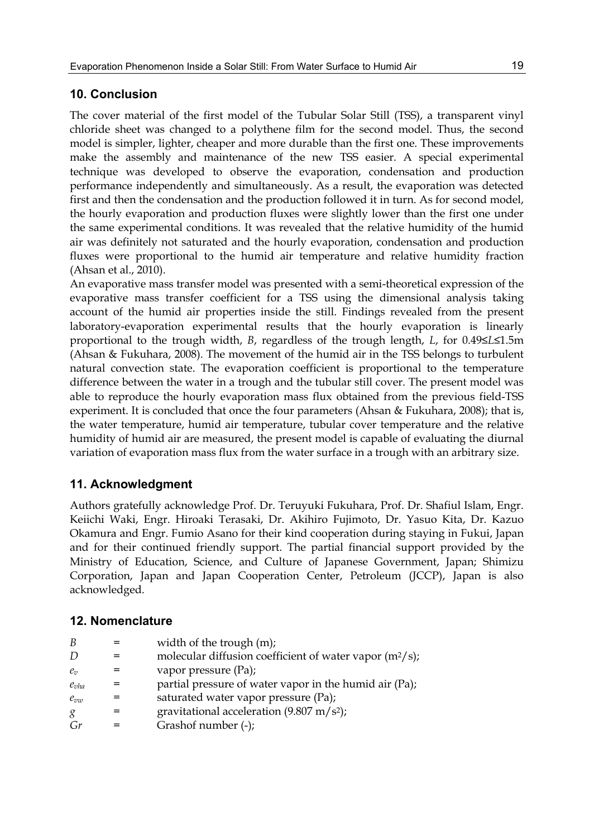# **10. Conclusion**

The cover material of the first model of the Tubular Solar Still (TSS), a transparent vinyl chloride sheet was changed to a polythene film for the second model. Thus, the second model is simpler, lighter, cheaper and more durable than the first one. These improvements make the assembly and maintenance of the new TSS easier. A special experimental technique was developed to observe the evaporation, condensation and production performance independently and simultaneously. As a result, the evaporation was detected first and then the condensation and the production followed it in turn. As for second model, the hourly evaporation and production fluxes were slightly lower than the first one under the same experimental conditions. It was revealed that the relative humidity of the humid air was definitely not saturated and the hourly evaporation, condensation and production fluxes were proportional to the humid air temperature and relative humidity fraction (Ahsan et al., 2010).

An evaporative mass transfer model was presented with a semi-theoretical expression of the evaporative mass transfer coefficient for a TSS using the dimensional analysis taking account of the humid air properties inside the still. Findings revealed from the present laboratory-evaporation experimental results that the hourly evaporation is linearly proportional to the trough width, *B*, regardless of the trough length, *L*, for 0.49≤*L*≤1.5m (Ahsan & Fukuhara, 2008). The movement of the humid air in the TSS belongs to turbulent natural convection state. The evaporation coefficient is proportional to the temperature difference between the water in a trough and the tubular still cover. The present model was able to reproduce the hourly evaporation mass flux obtained from the previous field-TSS experiment. It is concluded that once the four parameters (Ahsan & Fukuhara, 2008); that is, the water temperature, humid air temperature, tubular cover temperature and the relative humidity of humid air are measured, the present model is capable of evaluating the diurnal variation of evaporation mass flux from the water surface in a trough with an arbitrary size.

# **11. Acknowledgment**

Authors gratefully acknowledge Prof. Dr. Teruyuki Fukuhara, Prof. Dr. Shafiul Islam, Engr. Keiichi Waki, Engr. Hiroaki Terasaki, Dr. Akihiro Fujimoto, Dr. Yasuo Kita, Dr. Kazuo Okamura and Engr. Fumio Asano for their kind cooperation during staying in Fukui, Japan and for their continued friendly support. The partial financial support provided by the Ministry of Education, Science, and Culture of Japanese Government, Japan; Shimizu Corporation, Japan and Japan Cooperation Center, Petroleum (JCCP), Japan is also acknowledged.

# **12. Nomenclature**

| B         | width of the trough (m);                                   |
|-----------|------------------------------------------------------------|
| D         | molecular diffusion coefficient of water vapor $(m^2/s)$ ; |
| $e_n$     | vapor pressure (Pa);                                       |
| $e_{vha}$ | partial pressure of water vapor in the humid air (Pa);     |
| $e_{vw}$  | saturated water vapor pressure (Pa);                       |
| g         | gravitational acceleration $(9.807 \text{ m/s}^2)$ ;       |
| Gr        | Grashof number (-);                                        |
|           |                                                            |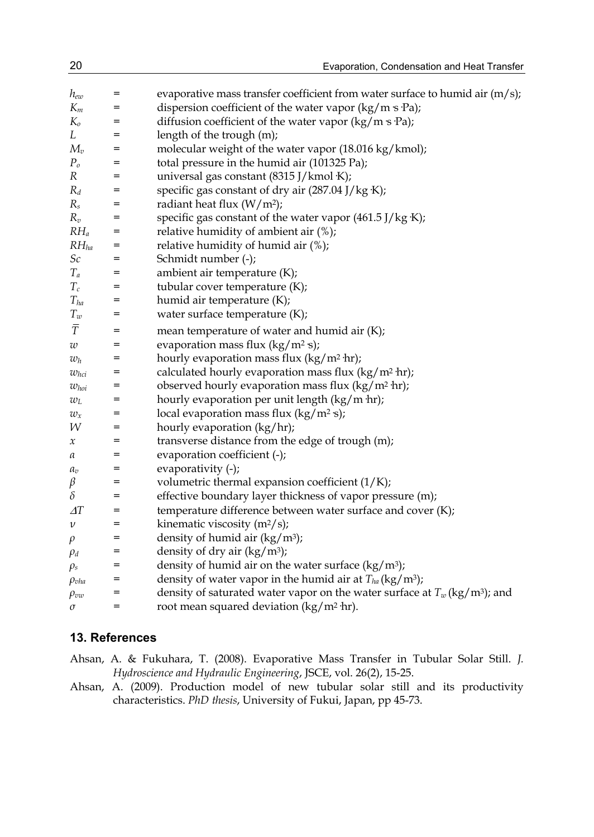| $h_{ew}$           | $=$ | evaporative mass transfer coefficient from water surface to humid air $(m/s)$ ;          |
|--------------------|-----|------------------------------------------------------------------------------------------|
| $K_m$              | =   | dispersion coefficient of the water vapor $(kg/m s Pa)$ ;                                |
| $K_{o}$            | $=$ | diffusion coefficient of the water vapor $(kg/m s Pa)$ ;                                 |
| L                  | $=$ | length of the trough (m);                                                                |
| $M_v$              | $=$ | molecular weight of the water vapor (18.016 kg/kmol);                                    |
| $P_o$              | =   | total pressure in the humid air (101325 Pa);                                             |
| R                  | =   | universal gas constant (8315 J/kmol K);                                                  |
| $R_d$              | $=$ | specific gas constant of dry air (287.04 J/kg K);                                        |
| $R_s$              | $=$ | radiant heat flux $(W/m^2)$ ;                                                            |
| $R_v$              | $=$ | specific gas constant of the water vapor (461.5 J/kg K);                                 |
| $RH_a$             | $=$ | relative humidity of ambient air (%);                                                    |
| $RH$ <sub>ha</sub> | $=$ | relative humidity of humid air (%);                                                      |
| $\mathcal{S}c$     | $=$ | Schmidt number (-);                                                                      |
| $T_a$              | $=$ | ambient air temperature (K);                                                             |
| $T_c$              | $=$ | tubular cover temperature (K);                                                           |
| $T_{ha}$           | =   | humid air temperature (K);                                                               |
| $T_w$              | $=$ | water surface temperature (K);                                                           |
| $\overline{T}$     | $=$ | mean temperature of water and humid air (K);                                             |
| w                  | =   | evaporation mass flux $(kg/m^2 s)$ ;                                                     |
| $w_h$              | $=$ | hourly evaporation mass flux $(kg/m^2 hr)$ ;                                             |
| $w_{hci}$          | $=$ | calculated hourly evaporation mass flux $(kg/m^2 \cdot hr)$ ;                            |
| $w_{hoi}$          | $=$ | observed hourly evaporation mass flux (kg/m <sup>2</sup> hr);                            |
| $w_{L}$            | $=$ | hourly evaporation per unit length $(kg/m hr)$ ;                                         |
| $w_x$              | $=$ | local evaporation mass flux $(kg/m^2 s)$ ;                                               |
| W                  | =   | hourly evaporation (kg/hr);                                                              |
| х                  | $=$ | transverse distance from the edge of trough (m);                                         |
| а                  | $=$ | evaporation coefficient (-);                                                             |
| $a_v$              | $=$ | evaporativity (-);                                                                       |
| $\beta$            | $=$ | volumetric thermal expansion coefficient $(1/K)$ ;                                       |
| $\delta$           | $=$ | effective boundary layer thickness of vapor pressure (m);                                |
| $\varDelta T$      | $=$ | temperature difference between water surface and cover (K);                              |
| v                  | $=$ | kinematic viscosity $(m^2/s)$ ;                                                          |
| ρ                  | $=$ | density of humid air $(kg/m^3)$ ;                                                        |
| $\rho_d$           | $=$ | density of dry air $(kg/m^3)$ ;                                                          |
| $\rho_s$           | $=$ | density of humid air on the water surface $(kg/m3)$ ;                                    |
| $\rho_{vha}$       | $=$ | density of water vapor in the humid air at $T_{ha}$ (kg/m <sup>3</sup> );                |
| $\rho_{vw}$        | =   | density of saturated water vapor on the water surface at $T_w$ (kg/m <sup>3</sup> ); and |
| $\sigma$           | $=$ | root mean squared deviation $\frac{\text{kg}}{\text{m}^2 \text{ hr}}$ .                  |

# **13. References**

- Ahsan, A. & Fukuhara, T. (2008). Evaporative Mass Transfer in Tubular Solar Still. *J. Hydroscience and Hydraulic Engineering*, JSCE, vol. 26(2), 15-25.
- Ahsan, A. (2009). Production model of new tubular solar still and its productivity characteristics. *PhD thesis*, University of Fukui, Japan, pp 45-73.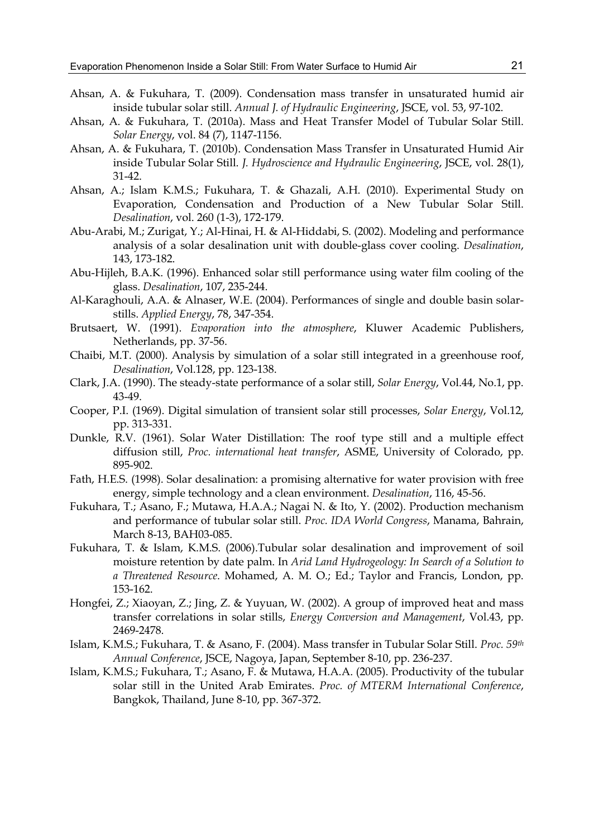- Ahsan, A. & Fukuhara, T. (2009). Condensation mass transfer in unsaturated humid air inside tubular solar still. *Annual J. of Hydraulic Engineering*, JSCE, vol. 53, 97-102.
- Ahsan, A. & Fukuhara, T. (2010a). Mass and Heat Transfer Model of Tubular Solar Still. *Solar Energy*, vol. 84 (7), 1147-1156.
- Ahsan, A. & Fukuhara, T. (2010b). Condensation Mass Transfer in Unsaturated Humid Air inside Tubular Solar Still. *J. Hydroscience and Hydraulic Engineering*, JSCE, vol. 28(1), 31-42.
- Ahsan, A.; Islam K.M.S.; Fukuhara, T. & Ghazali, A.H. (2010). Experimental Study on Evaporation, Condensation and Production of a New Tubular Solar Still. *Desalination*, vol. 260 (1-3), 172-179.
- Abu-Arabi, M.; Zurigat, Y.; Al-Hinai, H. & Al-Hiddabi, S. (2002). Modeling and performance analysis of a solar desalination unit with double-glass cover cooling. *Desalination*, 143, 173-182.
- Abu-Hijleh, B.A.K. (1996). Enhanced solar still performance using water film cooling of the glass. *Desalination*, 107, 235-244.
- Al-Karaghouli, A.A. & Alnaser, W.E. (2004). Performances of single and double basin solarstills. *Applied Energy*, 78, 347-354.
- Brutsaert, W. (1991). *Evaporation into the atmosphere*, Kluwer Academic Publishers, Netherlands, pp. 37-56.
- Chaibi, M.T. (2000). Analysis by simulation of a solar still integrated in a greenhouse roof, *Desalination*, Vol.128, pp. 123-138.
- Clark, J.A. (1990). The steady-state performance of a solar still, *Solar Energy*, Vol.44, No.1, pp. 43-49.
- Cooper, P.I. (1969). Digital simulation of transient solar still processes, *Solar Energy*, Vol.12, pp. 313-331.
- Dunkle, R.V. (1961). Solar Water Distillation: The roof type still and a multiple effect diffusion still, *Proc. international heat transfer*, ASME, University of Colorado, pp. 895-902.
- Fath, H.E.S. (1998). Solar desalination: a promising alternative for water provision with free energy, simple technology and a clean environment. *Desalination*, 116, 45-56.
- Fukuhara, T.; Asano, F.; Mutawa, H.A.A.; Nagai N. & Ito, Y. (2002). Production mechanism and performance of tubular solar still. *Proc. IDA World Congress*, Manama, Bahrain, March 8-13, BAH03-085.
- Fukuhara, T. & Islam, K.M.S. (2006).Tubular solar desalination and improvement of soil moisture retention by date palm. In *Arid Land Hydrogeology: In Search of a Solution to a Threatened Resource*. Mohamed, A. M. O.; Ed.; Taylor and Francis, London, pp. 153-162.
- Hongfei, Z.; Xiaoyan, Z.; Jing, Z. & Yuyuan, W. (2002). A group of improved heat and mass transfer correlations in solar stills, *Energy Conversion and Management*, Vol.43, pp. 2469-2478.
- Islam, K.M.S.; Fukuhara, T. & Asano, F. (2004). Mass transfer in Tubular Solar Still. *Proc. 59th Annual Conference*, JSCE, Nagoya, Japan, September 8-10, pp. 236-237.
- Islam, K.M.S.; Fukuhara, T.; Asano, F. & Mutawa, H.A.A. (2005). Productivity of the tubular solar still in the United Arab Emirates. *Proc. of MTERM International Conference*, Bangkok, Thailand, June 8-10, pp. 367-372.